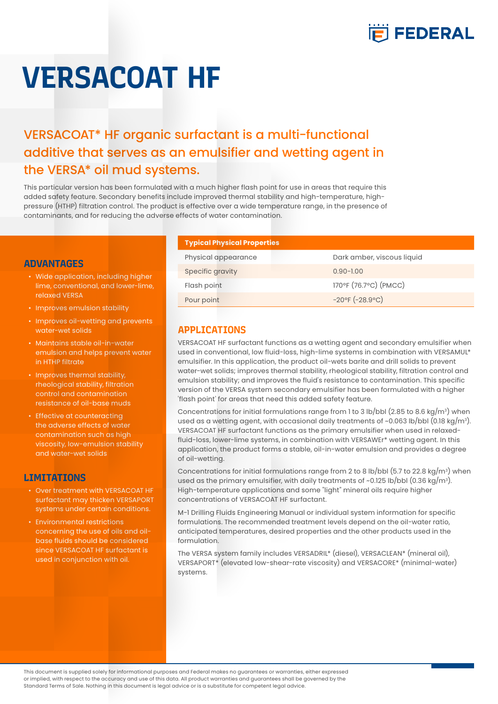

# **VERSACOAT HF**

## VERSACOAT\* HF organic surfactant is a multi-functional additive that serves as an emulsifier and wetting agent in the VERSA\* oil mud systems.

This particular version has been formulated with a much higher flash point for use in areas that require this added safety feature. Secondary benefits include improved thermal stability and high-temperature, highpressure (HTHP) filtration control. The product is effective over a wide temperature range, in the presence of contaminants, and for reducing the adverse effects of water contamination.

#### **ADVANTAGES**

- Wide application, including higher lime, conventional, and lower-lime, relaxed VERSA
- Improves emulsion stability
- Improves oil-wetting and prevents water-wet solids
- Maintains stable oil-in-water emulsion and helps prevent water in HTHP filtrate
- Improves thermal stability, rheological stability, filtration control and contamination resistance of oil-base muds
- Effective at counteracting the adverse effects of water contamination such as high viscosity, low-emulsion stability and water-wet solids

### **LIMITATIONS**

- Over treatment with VERSACOAT HF surfactant may thicken VERSAPORT systems under certain conditions.
- Environmental restrictions concerning the use of oils and oilbase fluids should be considered since VERSACOAT HF surfactant is used in conjunction with oil.

| <b>Typical Physical Properties</b> |                            |
|------------------------------------|----------------------------|
| Physical appearance                | Dark amber, viscous liquid |
| Specific gravity                   | $0.90 - 1.00$              |
| Flash point                        | 170°F (76.7°C) (PMCC)      |
| Pour point                         | $-20$ °F $(-28.9$ °C)      |

### **APPLICATIONS**

VERSACOAT HF surfactant functions as a wetting agent and secondary emulsifier when used in conventional, low fluid-loss, high-lime systems in combination with VERSAMUL\* emulsifier. In this application, the product oil-wets barite and drill solids to prevent water-wet solids; improves thermal stability, rheological stability, filtration control and emulsion stability; and improves the fluid's resistance to contamination. This specific version of the VERSA system secondary emulsifier has been formulated with a higher 'flash point' for areas that need this added safety feature.

Concentrations for initial formulations range from 1 to 3 lb/bbl (2.85 to 8.6 kg/m<sup>3</sup>) when used as a wetting agent, with occasional daily treatments of ~0.063 lb/bbl (0.18 kg/m<sup>3</sup>). VERSACOAT HF surfactant functions as the primary emulsifier when used in relaxedfluid-loss, lower-lime systems, in combination with VERSAWEr\* wetting agent. In this application, the product forms a stable, oil-in-water emulsion and provides a degree of oil-wetting.

Concentrations for initial formulations range from 2 to 8  $lb/bbl$  (5.7 to 22.8 kg/m<sup>3</sup>) when used as the primary emulsifier, with daily treatments of ~0.125 lb/bbl (0.36 kg/m $^3$ ). High-temperature applications and some "light" mineral oils require higher concentrations of VERSACOAT HF surfactant.

M-1 Drilling Fluids Engineering Manual or individual system information for specific formulations. The recommended treatment levels depend on the oil-water ratio, anticipated temperatures, desired properties and the other products used in the formulation.

The VERSA system family includes VERSADRIL\* (diesel), VERSACLEAN\* (mineral oil), VERSAPORT\* (elevated low-shear-rate viscosity) and VERSACORE\* (minimal-water) systems.

This document is supplied solely for informational purposes and Federal makes no guarantees or warranties, either expressed or implied, with respect to the accuracy and use of this data. All product warranties and guarantees shall be governed by the Standard Terms of Sale. Nothing in this document is legal advice or is a substitute for competent legal advice.